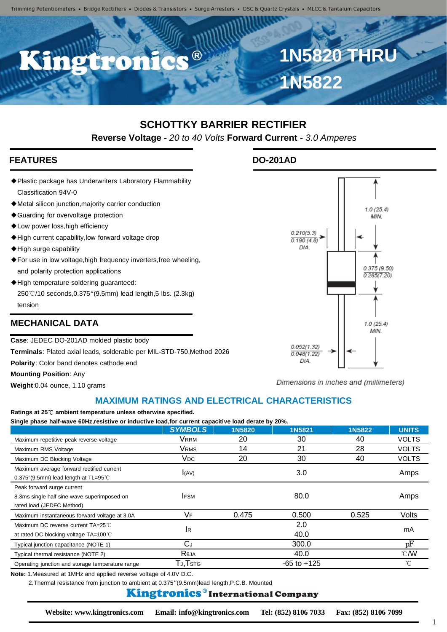Trimming Potentiometers • Bridge Rectifiers • Diodes & Transistors • Surge Arresters • OSC & Quartz Crystals • MLCC & Tantalum Capacitors

C.C.B

# **SCHOTTKY BARRIER RECTIFIER**

**Reverse Voltage -** *20 to 40 Volts* **Forward Current -** *3.0 Amperes*

### **FEATURES DO-201AD**

◆Plastic package has Underwriters Laboratory Flammability Classification 94V-0

**IBP** 

- ◆Metal silicon junction,majority carrier conduction
- ◆Guarding for overvoltage protection
- ◆Low power loss,high efficiency
- ◆High current capability,low forward voltage drop
- ◆High surge capability
- ◆For use in low voltage,high frequency inverters,free wheeling, and polarity protection applications
- ◆High temperature soldering guaranteed: 250℃/10 seconds,0.375"(9.5mm) lead length,5 lbs. (2.3kg) tension

#### **MECHANICAL DATA**

**Case**: JEDEC DO-201AD molded plastic body

**Terminals**: Plated axial leads, solderable per MIL-STD-750,Method 2026

**Polarity**: Color band denotes cathode end

**Mounting Position**: Any

**Weight**:0.04 ounce, 1.10 grams

## Dimensions in inches and (millimeters)

**1N5820 THRU**

 $1.0(25.4)$ MIN

 $0.375(9.50)$  $0.285(7.20)$ 

 $1.0(25.4)$ MIN

**1N5822**

 $0.210(5.3)$  $0.190(4.8)$ DIA

0 052(1 32)  $0.048(1.22)$ DIA

#### **MAXIMUM RATINGS AND ELECTRICAL CHARACTERISTICS**

#### **Ratings at 25**℃ **ambient temperature unless otherwise specified.**

**Single phase half-wave 60Hz,resistive or inductive load,for current capacitive load derate by 20%.**

|                                                                                                        | <b>SYMBOLS</b>         | <b>1N5820</b> | 1N5821          | 1N5822 | <b>UNITS</b>             |
|--------------------------------------------------------------------------------------------------------|------------------------|---------------|-----------------|--------|--------------------------|
| Maximum repetitive peak reverse voltage                                                                | Vrrm                   | 20            | 30              | 40     | <b>VOLTS</b>             |
| Maximum RMS Voltage                                                                                    | Vrms                   | 14            | 21              | 28     | <b>VOLTS</b>             |
| Maximum DC Blocking Voltage                                                                            | <b>V</b> <sub>DC</sub> | 20            | 30              | 40     | <b>VOLTS</b>             |
| Maximum average forward rectified current<br>$0.375$ "(9.5mm) lead length at TL=95 °C                  | (AV)                   |               | 3.0             |        | Amps                     |
| Peak forward surge current<br>8.3ms single half sine-wave superimposed on<br>rated load (JEDEC Method) | <b>IFSM</b>            |               | 80.0            |        | Amps                     |
| Maximum instantaneous forward voltage at 3.0A                                                          | VF                     | 0.475         | 0.500           | 0.525  | Volts                    |
| Maximum DC reverse current TA=25 °C<br>at rated DC blocking voltage TA=100 °C                          | <b>I</b> R             |               | 2.0<br>40.0     |        | mA                       |
| Typical junction capacitance (NOTE 1)                                                                  | СJ                     |               | 300.0           |        | рF                       |
| Typical thermal resistance (NOTE 2)                                                                    | Reja                   |               | 40.0            |        | $\mathcal{C}/\mathsf{W}$ |
| Operating junction and storage temperature range                                                       | Тл,Тѕтс                |               | $-65$ to $+125$ |        | °C                       |

**Note:** 1.Measured at 1MHz and applied reverse voltage of 4.0V D.C.

2.Thermal resistance from junction to ambient at 0.375"(9.5mm)lead length,P.C.B. Mounted

#### Kingtronics®International Company

1